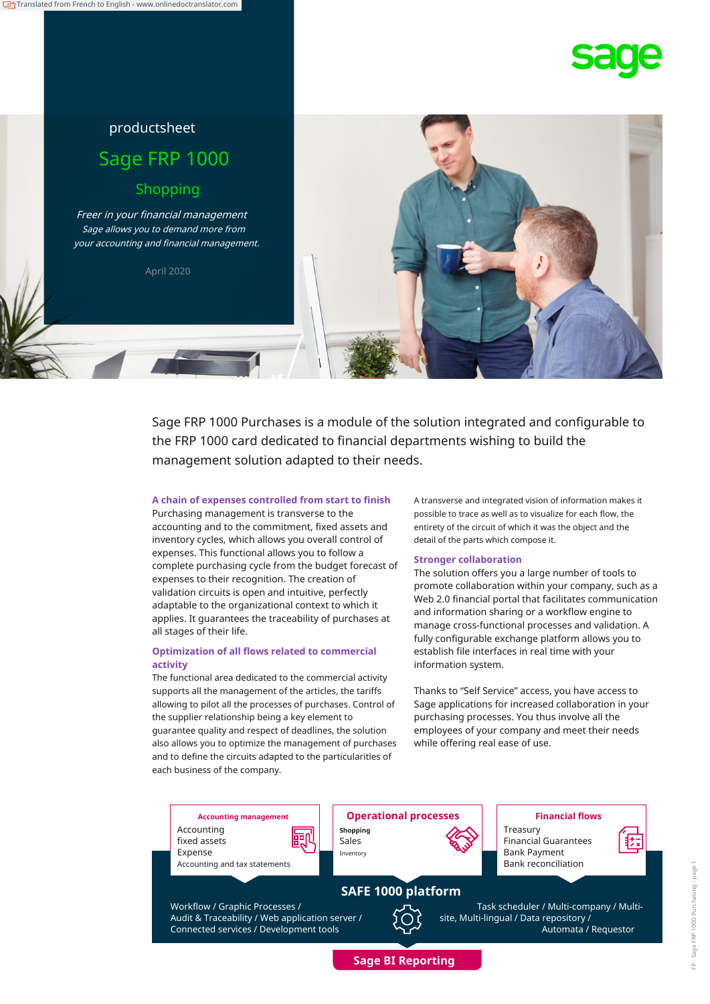



# productsheet Sage FRP 1000 Shopping Freer in your financial management Sage allows you to demand more from your accounting and financial management.

April 2020

Sage FRP 1000 Purchases is a module of the solution integrated and configurable to the FRP 1000 card dedicated to financial departments wishing to build the management solution adapted to their needs.

# **A chain of expenses controlled from start to finish**

Purchasing management is transverse to the accounting and to the commitment, fixed assets and inventory cycles, which allows you overall control of expenses. This functional allows you to follow a complete purchasing cycle from the budget forecast of expenses to their recognition. The creation of validation circuits is open and intuitive, perfectly adaptable to the organizational context to which it applies. It guarantees the traceability of purchases at all stages of their life.

# **Optimization of all flows related to commercial activity**

The functional area dedicated to the commercial activity supports all the management of the articles, the tariffs allowing to pilot all the processes of purchases. Control of the supplier relationship being a key element to guarantee quality and respect of deadlines, the solution also allows you to optimize the management of purchases and to define the circuits adapted to the particularities of each business of the company.

A transverse and integrated vision of information makes it possible to trace as well as to visualize for each flow, the entirety of the circuit of which it was the object and the detail of the parts which compose it.

# **Stronger collaboration**

The solution offers you a large number of tools to promote collaboration within your company, such as a Web 2.0 financial portal that facilitates communication and information sharing or a workflow engine to manage cross-functional processes and validation. A fully configurable exchange platform allows you to establish file interfaces in real time with your information system.

Thanks to "Self Service" access, you have access to Sage applications for increased collaboration in your purchasing processes. You thus involve all the employees of your company and meet their needs while offering real ease of use.

Accounting ლυ fixed assets Expense Accounting and tax statements

Workflow / Graphic Processes /

Audit & Traceability / Web application server /

**Accounting management Operational processes Financial flows Shopping** Sales Inventory **Bank Payment** 

**SAFE 1000 platform**

**Sage BI Reporting**



Treasury Financial Guarantees

Bank reconciliation

Task scheduler / Multi-company / Multisite, Multi-lingual / Data repository / Automata / Requestor

Connected services / Development tools

Ė

眃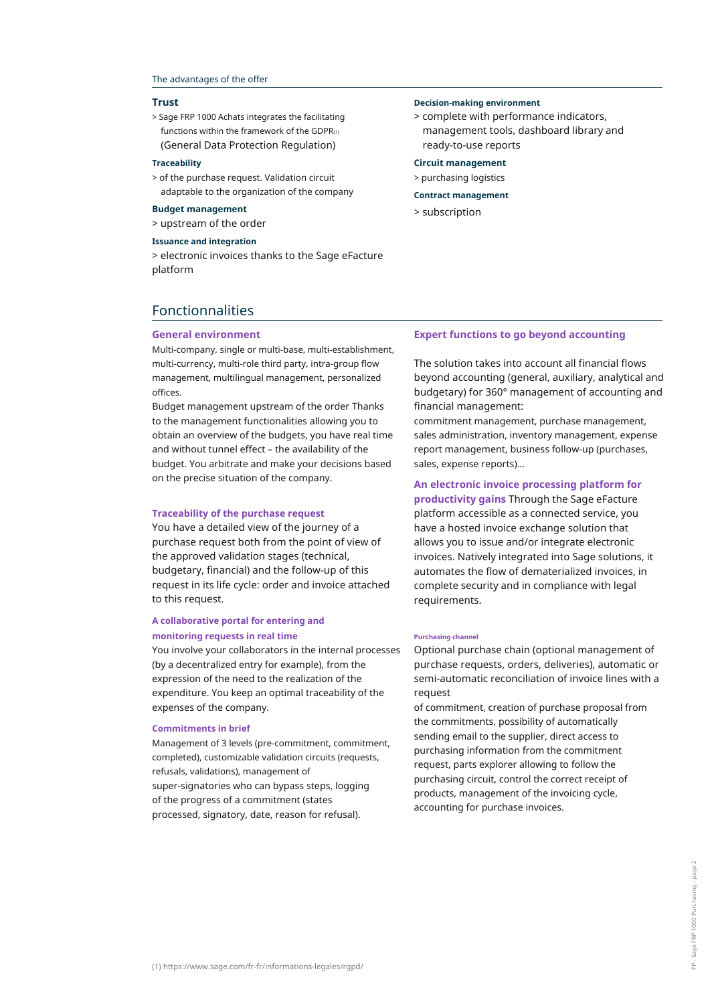#### The advantages of the offer

#### **Trust**

> Sage FRP 1000 Achats integrates the facilitating functions within the framework of the GDPR $(1)$ (General Data Protection Regulation)

#### **Traceability**

> of the purchase request. Validation circuit adaptable to the organization of the company

# > subscription **Budget management**

> upstream of the order

# **Issuance and integration**

> electronic invoices thanks to the Sage eFacture platform

#### **Decision-making environment**

> complete with performance indicators, management tools, dashboard library and ready-to-use reports

#### **Circuit management**

> purchasing logistics

#### **Contract management**

# Fonctionnalities

#### **General environment**

Multi-company, single or multi-base, multi-establishment, multi-currency, multi-role third party, intra-group flow management, multilingual management, personalized offices.

Budget management upstream of the order Thanks to the management functionalities allowing you to obtain an overview of the budgets, you have real time and without tunnel effect – the availability of the budget. You arbitrate and make your decisions based on the precise situation of the company.

#### **Traceability of the purchase request**

You have a detailed view of the journey of a purchase request both from the point of view of the approved validation stages (technical, budgetary, financial) and the follow-up of this request in its life cycle: order and invoice attached to this request.

# **A collaborative portal for entering and**

# **monitoring requests in real time**

You involve your collaborators in the internal processes (by a decentralized entry for example), from the expression of the need to the realization of the expenditure. You keep an optimal traceability of the expenses of the company.

#### **Commitments in brief**

Management of 3 levels (pre-commitment, commitment, completed), customizable validation circuits (requests, refusals, validations), management of super-signatories who can bypass steps, logging of the progress of a commitment (states processed, signatory, date, reason for refusal).

## **Expert functions to go beyond accounting**

The solution takes into account all financial flows beyond accounting (general, auxiliary, analytical and budgetary) for 360° management of accounting and financial management:

commitment management, purchase management, sales administration, inventory management, expense report management, business follow-up (purchases, sales, expense reports)…

# **An electronic invoice processing platform for**

**productivity gains** Through the Sage eFacture platform accessible as a connected service, you have a hosted invoice exchange solution that allows you to issue and/or integrate electronic invoices. Natively integrated into Sage solutions, it automates the flow of dematerialized invoices, in complete security and in compliance with legal requirements.

#### **Purchasing channel**

Optional purchase chain (optional management of purchase requests, orders, deliveries), automatic or semi-automatic reconciliation of invoice lines with a request

of commitment, creation of purchase proposal from the commitments, possibility of automatically sending email to the supplier, direct access to purchasing information from the commitment request, parts explorer allowing to follow the purchasing circuit, control the correct receipt of products, management of the invoicing cycle, accounting for purchase invoices.